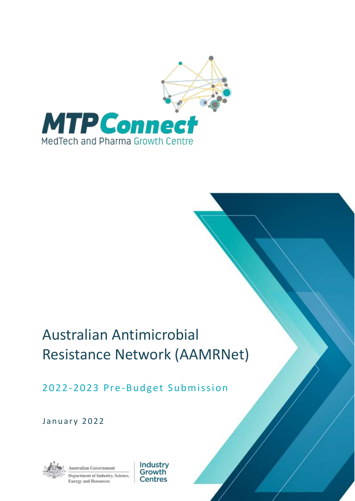

## Australian Antimicrobial Resistance Network (AAMRNet)

## 2022-2023 Pre-Budget Submission

January 2022



ustralian Government Department of Industry, Science, **Energy and Resources** 

Industry Growth Centres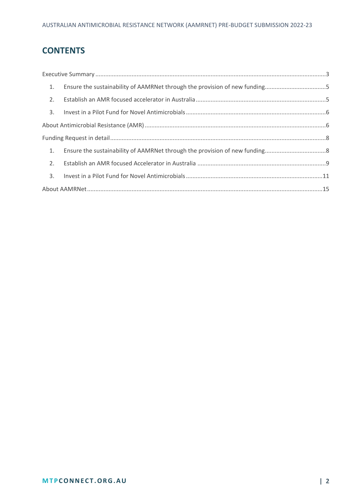## **CONTENTS**

|    | 1. Ensure the sustainability of AAMRNet through the provision of new funding5 |  |
|----|-------------------------------------------------------------------------------|--|
|    |                                                                               |  |
|    |                                                                               |  |
|    |                                                                               |  |
|    |                                                                               |  |
|    |                                                                               |  |
| 2. |                                                                               |  |
|    |                                                                               |  |
|    |                                                                               |  |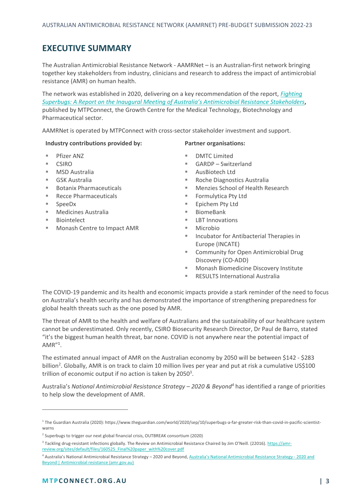### <span id="page-2-0"></span>**EXECUTIVE SUMMARY**

The Australian Antimicrobial Resistance Network - AAMRNet – is an Australian-first network bringing together key stakeholders from industry, clinicians and research to address the impact of antimicrobial resistance (AMR) on human health.

The network was established in 2020, delivering on a key recommendation of the report, *[Fighting](https://www.mtpconnect.org.au/images/mtpc_fighting_superbugs_web_230920.pdf)  [Superbugs: A Report on the Inaugural Meeting of Australia's Antimicr](https://www.mtpconnect.org.au/images/mtpc_fighting_superbugs_web_230920.pdf)obial Resistance Stakeholders***,** published by MTPConnect, the Growth Centre for the Medical Technology, Biotechnology and Pharmaceutical sector.

AAMRNet is operated by MTPConnect with cross-sector stakeholder investment and support.

#### **Industry contributions provided by:**

- Pfizer ANZ
- **CSIRO**
- MSD Australia
- GSK Australia
- **Botanix Pharmaceuticals**
- **Recce Pharmaceuticals**
- SpeeDx
- Medicines Australia
- Biointelect
- Monash Centre to Impact AMR

#### **Partner organisations:**

- DMTC Limited
- GARDP Switzerland
- AusBiotech Ltd
- Roche Diagnostics Australia
- Menzies School of Health Research
- Formulytica Pty Ltd
- Epichem Pty Ltd
- BiomeBank
- **LBT Innovations**
- Microbio
- Incubator for Antibacterial Therapies in Europe (INCATE)
- Community for Open Antimicrobial Drug Discovery (CO-ADD)
- Monash Biomedicine Discovery Institute
- **RESULTS International Australia**

The COVID-19 pandemic and its health and economic impacts provide a stark reminder of the need to focus on Australia's health security and has demonstrated the importance of strengthening preparedness for global health threats such as the one posed by AMR.

The threat of AMR to the health and welfare of Australians and the sustainability of our healthcare system cannot be underestimated. Only recently, CSIRO Biosecurity Research Director, Dr Paul de Barro, stated "it's the biggest human health threat, bar none. COVID is not anywhere near the potential impact of AMR"<sup>1</sup> .

The estimated annual impact of AMR on the Australian economy by 2050 will be between \$142 - \$283 billion<sup>2</sup>. Globally, AMR is on track to claim 10 million lives per year and put at risk a cumulative US\$100 trillion of economic output if no action is taken by 2050 $^3$ .

Australia's *National Antimicrobial Resistance Strategy – 2020 & Beyond<sup>4</sup>* has identified a range of priorities to help slow the development of AMR.

<sup>1</sup> The Guardian Australia (2020): https://www.theguardian.com/world/2020/sep/10/superbugs-a-far-greater-risk-than-covid-in-pacific-scientistwarns

<sup>&</sup>lt;sup>2</sup> Superbugs to trigger our next global financial crisis, OUTBREAK consortium (2020)

<sup>&</sup>lt;sup>3</sup> Tackling drug-resistant infections globally. The Review on Antimicrobial Resistance Chaired by Jim O'Neill. (22016). [https://amr](https://amr-review.org/sites/default/files/160525_Final%20paper_with%20cover.pdf)[review.org/sites/default/files/160525\\_Final%20paper\\_with%20cover.pdf](https://amr-review.org/sites/default/files/160525_Final%20paper_with%20cover.pdf)

<sup>4</sup> Australia's National Antimicrobial Resistance Strategy – 2020 and Beyond, [Australia's National Antimicrobial Resistance S](https://www.amr.gov.au/resources/australias-national-antimicrobial-resistance-strategy-2020-and-beyond)trategy - 2020 and [Beyond | Antimicrobial resistance \(amr.gov.au\)](https://www.amr.gov.au/resources/australias-national-antimicrobial-resistance-strategy-2020-and-beyond)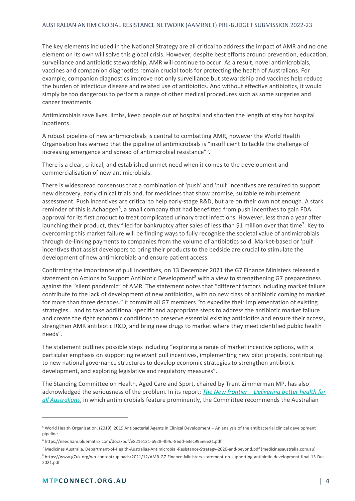The key elements included in the National Strategy are all critical to address the impact of AMR and no one element on its own will solve this global crisis. However, despite best efforts around prevention, education, surveillance and antibiotic stewardship, AMR will continue to occur. As a result, novel antimicrobials, vaccines and companion diagnostics remain crucial tools for protecting the health of Australians. For example, companion diagnostics improve not only surveillance but stewardship and vaccines help reduce the burden of infectious disease and related use of antibiotics. And without effective antibiotics, it would simply be too dangerous to perform a range of other medical procedures such as some surgeries and cancer treatments.

Antimicrobials save lives, limbs, keep people out of hospital and shorten the length of stay for hospital inpatients.

A robust pipeline of new antimicrobials is central to combatting AMR, however the World Health Organisation has warned that the pipeline of antimicrobials is "insufficient to tackle the challenge of increasing emergence and spread of antimicrobial resistance" 5 .

There is a clear, critical, and established unmet need when it comes to the development and commercialisation of new antimicrobials.

There is widespread consensus that a combination of 'push' and 'pull' incentives are required to support new discovery, early clinical trials and, for medicines that show promise, suitable reimbursement assessment. Push incentives are critical to help early-stage R&D, but are on their own not enough. A stark reminder of this is Achaogen<sup>6</sup>, a small company that had benefitted from push incentives to gain FDA approval for its first product to treat complicated urinary tract infections. However, less than a year after launching their product, they filed for bankruptcy after sales of less than \$1 million over that time<sup>7</sup>. Key to overcoming this market failure will be finding ways to fully recognise the societal value of antimicrobials through de-linking payments to companies from the volume of antibiotics sold. Market-based or 'pull' incentives that assist developers to bring their products to the bedside are crucial to stimulate the development of new antimicrobials and ensure patient access.

Confirming the importance of pull incentives, on 13 December 2021 the G7 Finance Ministers released a statement on Actions to Support Antibiotic Development<sup>8</sup> with a view to strengthening G7 preparedness against the "silent pandemic" of AMR. The statement notes that "different factors including market failure contribute to the lack of development of new antibiotics, with no new class of antibiotic coming to market for more than three decades." It commits all G7 members "to expedite their implementation of existing strategies… and to take additional specific and appropriate steps to address the antibiotic market failure and create the right economic conditions to preserve essential existing antibiotics and ensure their access, strengthen AMR antibiotic R&D, and bring new drugs to market where they meet identified public health needs".

The statement outlines possible steps including "exploring a range of market incentive options, with a particular emphasis on supporting relevant pull incentives, implementing new pilot projects, contributing to new national governance structures to develop economic strategies to strengthen antibiotic development, and exploring legislative and regulatory measures".

The Standing Committee on Health, Aged Care and Sport, chaired by Trent Zimmerman MP, has also acknowledged the seriousness of the problem. In its report; *The New frontier – [Delivering better health for](https://parlinfo.aph.gov.au/parlInfo/download/committees/reportrep/024755/toc_pdf/TheNewFrontier-DeliveringbetterhealthforallAustralians.pdf;fileType=application%2Fpdf)  [all Australians](https://parlinfo.aph.gov.au/parlInfo/download/committees/reportrep/024755/toc_pdf/TheNewFrontier-DeliveringbetterhealthforallAustralians.pdf;fileType=application%2Fpdf)*, in which antimicrobials feature prominently, the Committee recommends the Australian

<sup>5</sup> World Health Organisation, (2019), 2019 Antibacterial Agents in Clinical Development – An analysis of the antibacterial clinical development pipeline

<sup>6</sup> <https://needham.bluematrix.com/docs/pdf/e821e131-b928-4b4d-86dd-63ec995e6e21.pdf>

<sup>7</sup> Medicines Australia[, Department-of-Health-Australias-Antimicrobial-Resistance-Strategy-2020-and-beyond.pdf \(medicinesaustralia.com.au\)](https://www.medicinesaustralia.com.au/wp-content/uploads/2020/11/Department-of-Health-Australias-Antimicrobial-Resistance-Strategy-2020-and-beyond.pdf)

<sup>8</sup> https://www.g7uk.org/wp-content/uploads/2021/12/AMR-G7-Finance-Ministers-statement-on-supporting-antibiotic-development-final-13-Dec-2021.pdf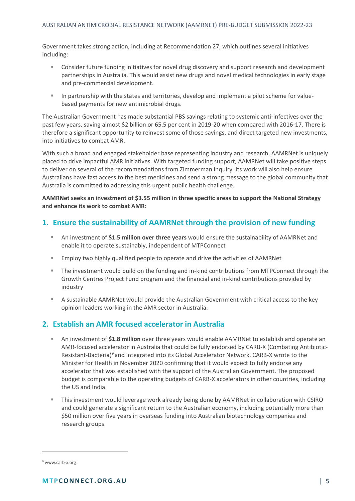Government takes strong action, including at Recommendation 27, which outlines several initiatives including:

- Consider future funding initiatives for novel drug discovery and support research and development partnerships in Australia. This would assist new drugs and novel medical technologies in early stage and pre-commercial development.
- In partnership with the states and territories, develop and implement a pilot scheme for valuebased payments for new antimicrobial drugs.

The Australian Government has made substantial PBS savings relating to systemic anti-infectives over the past few years, saving almost \$2 billion or 65.5 per cent in 2019-20 when compared with 2016-17. There is therefore a significant opportunity to reinvest some of those savings, and direct targeted new investments, into initiatives to combat AMR.

With such a broad and engaged stakeholder base representing industry and research, AAMRNet is uniquely placed to drive impactful AMR initiatives. With targeted funding support, AAMRNet will take positive steps to deliver on several of the recommendations from Zimmerman inquiry. Its work will also help ensure Australians have fast access to the best medicines and send a strong message to the global community that Australia is committed to addressing this urgent public health challenge.

**AAMRNet seeks an investment of \$3.55 million in three specific areas to support the National Strategy and enhance its work to combat AMR:**

#### <span id="page-4-0"></span>**1. Ensure the sustainability of AAMRNet through the provision of new funding**

- An investment of **\$1.5 million over three years** would ensure the sustainability of AAMRNet and enable it to operate sustainably, independent of MTPConnect
- Employ two highly qualified people to operate and drive the activities of AAMRNet
- The investment would build on the funding and in-kind contributions from MTPConnect through the Growth Centres Project Fund program and the financial and in-kind contributions provided by industry
- A sustainable AAMRNet would provide the Australian Government with critical access to the key opinion leaders working in the AMR sector in Australia.

#### <span id="page-4-1"></span>**2. Establish an AMR focused accelerator in Australia**

- An investment of \$1.8 million over three years would enable AAMRNet to establish and operate an AMR-focused accelerator in Australia that could be fully endorsed by CARB-X (Combating Antibiotic-Resistant-Bacteria)<sup>9</sup> and integrated into its Global Accelerator Network. CARB-X wrote to the Minister for Health in November 2020 confirming that it would expect to fully endorse any accelerator that was established with the support of the Australian Government. The proposed budget is comparable to the operating budgets of CARB-X accelerators in other countries, including the US and India.
- **This investment would leverage work already being done by AAMRNet in collaboration with CSIRO** and could generate a significant return to the Australian economy, including potentially more than \$50 million over five years in overseas funding into Australian biotechnology companies and research groups.

<sup>9</sup> www.carb-x.org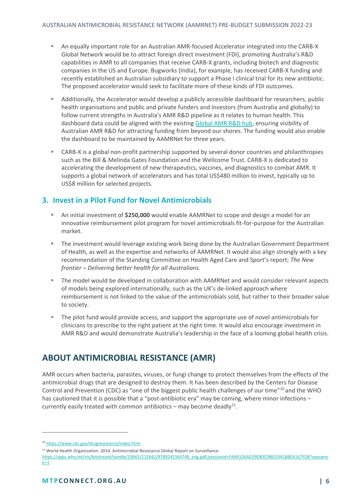- An equally important role for an Australian AMR-focused Accelerator integrated into the CARB-X Global Network would be to attract foreign direct investment (FDI), promoting Australia's R&D capabilities in AMR to all companies that receive CARB-X grants, including biotech and diagnostic companies in the US and Europe. Bugworks (India), for example, has received CARB-X funding and recently established an Australian subsidiary to support a Phase I clinical trial for its new antibiotic. The proposed accelerator would seek to facilitate more of these kinds of FDI outcomes.
- **EXECO Additionally, the Accelerator would develop a publicly accessible dashboard for researchers, public** health organisations and public and private funders and investors (from Australia and globally) to follow current strengths in Australia's AMR R&D pipeline as it relates to human health. This dashboard data could be aligned with the existing [Global AMR R&D hub,](https://dashboard.globalamrhub.org/reports/investments/overview) ensuring visibility of Australian AMR R&D for attracting funding from beyond our shores. The funding would also enable the dashboard to be maintained by AAMRNet for three years.
- CARB-X is a global non-profit partnership supported by several donor countries and philanthropies such as the Bill & Melinda Gates Foundation and the Wellcome Trust. CARB-X is dedicated to accelerating the development of new therapeutics, vaccines, and diagnostics to combat AMR. It supports a global network of accelerators and has total US\$480 million to invest, typically up to US\$8 million for selected projects.

#### <span id="page-5-0"></span>**3. Invest in a Pilot Fund for Novel Antimicrobials**

- An initial investment of \$250,000 would enable AAMRNet to scope and design a model for an innovative reimbursement pilot program for novel antimicrobials fit-for-purpose for the Australian market.
- The investment would leverage existing work being done by the Australian Government Department of Health, as well as the expertise and networks of AAMRNet. It would also align strongly with a key recommendation of the Standing Committee on Health Aged Care and Sport's report; *The New frontier – Delivering better health for all Australians.*
- The model would be developed in collaboration with AAMRNet and would consider relevant aspects of models being explored internationally, such as the UK's de-linked approach where reimbursement is not linked to the value of the antimicrobials sold, but rather to their broader value to society.
- The pilot fund would provide access, and support the appropriate use of novel antimicrobials for clinicians to prescribe to the right patient at the right time. It would also encourage investment in AMR R&D and would demonstrate Australia's leadership in the face of a looming global health crisis.

## <span id="page-5-1"></span>**ABOUT ANTIMICROBIAL RESISTANCE (AMR)**

AMR occurs when bacteria, parasites, viruses, or fungi change to protect themselves from the effects of the antimicrobial drugs that are designed to destroy them. It has been described by the Centers for Disease Control and Prevention (CDC) as "one of the biggest public health challenges of our time"<sup>10</sup> and the WHO has cautioned that it is possible that a "post-antibiotic era" may be coming, where minor infections currently easily treated with common antibiotics – may become deadly $^{11}$ .

<sup>10</sup> <https://www.cdc.gov/drugresistance/index.html>

<sup>&</sup>lt;sup>11</sup> World Health Organization. 2014. Antimicrobial Resistance Global Report on Surveillance.

[https://apps.who.int/iris/bitstream/handle/10665/112642/9789241564748\\_eng.pdf;jsessionid=FAA9126AD29D83C9BD29A1B8EA167FD8?sequenc](https://apps.who.int/iris/bitstream/handle/10665/112642/9789241564748_eng.pdf;jsessionid=FAA9126AD29D83C9BD29A1B8EA167FD8?sequence=1)  $e=1$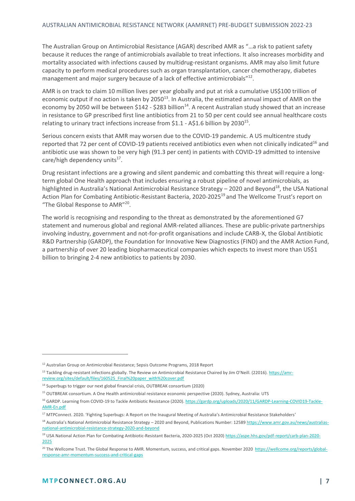The Australian Group on Antimicrobial Resistance (AGAR) described AMR as "…a risk to patient safety because it reduces the range of antimicrobials available to treat infections. It also increases morbidity and mortality associated with infections caused by multidrug-resistant organisms. AMR may also limit future capacity to perform medical procedures such as organ transplantation, cancer chemotherapy, diabetes management and major surgery because of a lack of effective antimicrobials"<sup>12</sup>.

AMR is on track to claim 10 million lives per year globally and put at risk a cumulative US\$100 trillion of economic output if no action is taken by 2050<sup>13</sup>. In Australia, the estimated annual impact of AMR on the economy by 2050 will be between \$142 - \$283 billion<sup>14</sup>. A recent Australian study showed that an increase in resistance to GP prescribed first line antibiotics from 21 to 50 per cent could see annual healthcare costs relating to urinary tract infections increase from \$1.1 - A\$1.6 billion by 2030<sup>15</sup>.

Serious concern exists that AMR may worsen due to the COVID-19 pandemic. A US multicentre study reported that 72 per cent of COVID-19 patients received antibiotics even when not clinically indicated<sup>16</sup> and antibiotic use was shown to be very high (91.3 per cent) in patients with COVID-19 admitted to intensive care/high dependency units<sup>17</sup>.

Drug resistant infections are a growing and silent pandemic and combatting this threat will require a longterm global One Health approach that includes ensuring a robust pipeline of novel antimicrobials, as highlighted in Australia's National Antimicrobial Resistance Strategy - 2020 and Beyond<sup>18</sup>, the USA National Action Plan for Combating Antibiotic-Resistant Bacteria, 2020-2025<sup>19</sup> and The Wellcome Trust's report on "The Global Response to AMR"<sup>20</sup>.

The world is recognising and responding to the threat as demonstrated by the aforementioned G7 statement and numerous global and regional AMR-related alliances. These are public-private partnerships involving industry, government and not-for-profit organisations and include CARB-X, the Global Antibiotic R&D Partnership (GARDP), the Foundation for Innovative New Diagnostics (FIND) and the AMR Action Fund, a partnership of over 20 leading biopharmaceutical companies which expects to invest more than US\$1 billion to bringing 2-4 new antibiotics to patients by 2030.

<sup>&</sup>lt;sup>12</sup> Australian Group on Antimicrobial Resistance; Sepsis Outcome Programs, 2018 Report

<sup>&</sup>lt;sup>13</sup> Tackling drug-resistant infections globally. The Review on Antimicrobial Resistance Chaired by Jim O'Neill. (22016). [https://amr](https://amr-review.org/sites/default/files/160525_Final%20paper_with%20cover.pdf)[review.org/sites/default/files/160525\\_Final%20paper\\_with%20cover.pdf](https://amr-review.org/sites/default/files/160525_Final%20paper_with%20cover.pdf)

<sup>&</sup>lt;sup>14</sup> Superbugs to trigger our next global financial crisis, OUTBREAK consortium (2020)

<sup>15</sup> OUTBREAK consortium. A One Health antimicrobial resistance economic perspective (2020). Sydney, Australia: UTS

<sup>&</sup>lt;sup>16</sup> GARDP. Learning from COVID-19 to Tackle Antibiotic Resistance (2020)[. https://gardp.org/uploads/2020/11/GARDP-Learning-COVID19-Tackle-](https://gardp.org/uploads/2020/11/GARDP-Learning-COVID19-Tackle-AMR-En.pdf)[AMR-En.pdf](https://gardp.org/uploads/2020/11/GARDP-Learning-COVID19-Tackle-AMR-En.pdf)

<sup>&</sup>lt;sup>17</sup> MTPConnect. 2020. 'Fighting Superbugs: A Report on the Inaugural Meeting of Australia's Antimicrobial Resistance Stakeholders'

<sup>&</sup>lt;sup>18</sup> Australia's National Antimicrobial Resistance Strategy – 2020 and Beyond, Publications Number: 12589 [https://www.amr.gov.au/news/australias](https://www.amr.gov.au/news/australias-national-antimicrobial-resistance-strategy-2020-and-beyond)[national-antimicrobial-resistance-strategy-2020-and-beyond](https://www.amr.gov.au/news/australias-national-antimicrobial-resistance-strategy-2020-and-beyond)

<sup>&</sup>lt;sup>19</sup> USA National Action Plan for Combating Antibiotic-Resistant Bacteria, 2020-2025 (Oct 2020[\) https://aspe.hhs.gov/pdf-report/carb-plan-2020-](https://aspe.hhs.gov/pdf-report/carb-plan-2020-2025) [2025](https://aspe.hhs.gov/pdf-report/carb-plan-2020-2025)

<sup>&</sup>lt;sup>20</sup> The Wellcome Trust. The Global Response to AMR. Momentum, success, and critical gaps. November 2020 [https://wellcome.org/reports/global](https://wellcome.org/reports/global-response-amr-momentum-success-and-critical-gaps)[response-amr-momentum-success-and-critical-gaps](https://wellcome.org/reports/global-response-amr-momentum-success-and-critical-gaps)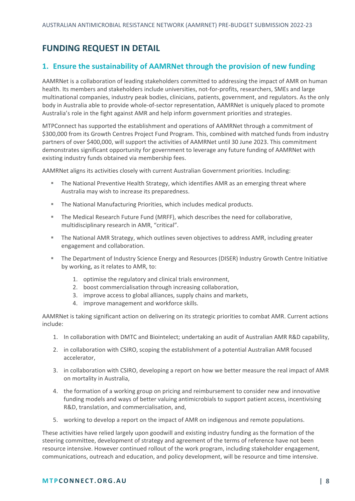## <span id="page-7-0"></span>**FUNDING REQUEST IN DETAIL**

#### <span id="page-7-1"></span>**1. Ensure the sustainability of AAMRNet through the provision of new funding**

AAMRNet is a collaboration of leading stakeholders committed to addressing the impact of AMR on human health. Its members and stakeholders include universities, not-for-profits, researchers, SMEs and large multinational companies, industry peak bodies, clinicians, patients, government, and regulators. As the only body in Australia able to provide whole-of-sector representation, AAMRNet is uniquely placed to promote Australia's role in the fight against AMR and help inform government priorities and strategies.

MTPConnect has supported the establishment and operations of AAMRNet through a commitment of \$300,000 from its Growth Centres Project Fund Program. This, combined with matched funds from industry partners of over \$400,000, will support the activities of AAMRNet until 30 June 2023. This commitment demonstrates significant opportunity for government to leverage any future funding of AAMRNet with existing industry funds obtained via membership fees.

AAMRNet aligns its activities closely with current Australian Government priorities. Including:

- The National Preventive Health Strategy, which identifies AMR as an emerging threat where Australia may wish to increase its preparedness.
- The National Manufacturing Priorities, which includes medical products.
- The Medical Research Future Fund (MRFF), which describes the need for collaborative, multidisciplinary research in AMR, "critical".
- **The National AMR Strategy, which outlines seven objectives to address AMR, including greater** engagement and collaboration.
- The Department of Industry Science Energy and Resources (DISER) Industry Growth Centre Initiative by working, as it relates to AMR, to:
	- 1. optimise the regulatory and clinical trials environment,
	- 2. boost commercialisation through increasing collaboration,
	- 3. improve access to global alliances, supply chains and markets,
	- 4. improve management and workforce skills.

AAMRNet is taking significant action on delivering on its strategic priorities to combat AMR. Current actions include:

- 1. In collaboration with DMTC and Biointelect; undertaking an audit of Australian AMR R&D capability,
- 2. in collaboration with CSIRO, scoping the establishment of a potential Australian AMR focused accelerator,
- 3. in collaboration with CSIRO, developing a report on how we better measure the real impact of AMR on mortality in Australia,
- 4. the formation of a working group on pricing and reimbursement to consider new and innovative funding models and ways of better valuing antimicrobials to support patient access, incentivising R&D, translation, and commercialisation, and,
- 5. working to develop a report on the impact of AMR on indigenous and remote populations.

These activities have relied largely upon goodwill and existing industry funding as the formation of the steering committee, development of strategy and agreement of the terms of reference have not been resource intensive. However continued rollout of the work program, including stakeholder engagement, communications, outreach and education, and policy development, will be resource and time intensive.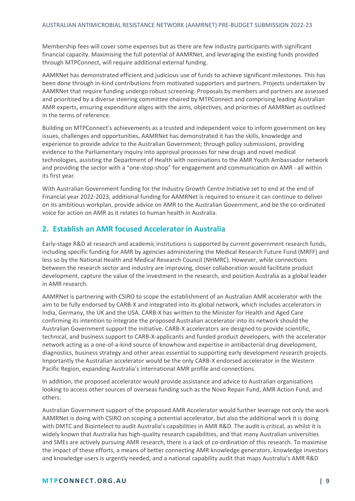Membership fees will cover some expenses but as there are few industry participants with significant financial capacity. Maximising the full potential of AAMRNet, and leveraging the existing funds provided through MTPConnect, will require additional external funding.

AAMRNet has demonstrated efficient and judicious use of funds to achieve significant milestones. This has been done through in-kind contributions from motivated supporters and partners. Projects undertaken by AAMRNet that require funding undergo robust screening. Proposals by members and partners are assessed and prioritised by a diverse steering committee chaired by MTPConnect and comprising leading Australian AMR experts, ensuring expenditure aligns with the aims, objectives, and priorities of AAMRNet as outlined in the terms of reference.

Building on MTPConnect's achievements as a trusted and independent voice to inform government on key issues, challenges and opportunities, AAMRNet has demonstrated it has the skills, knowledge and experience to provide advice to the Australian Government; through policy submissions, providing evidence to the Parliamentary inquiry into approval processes for new drugs and novel medical technologies, assisting the Department of Health with nominations to the AMR Youth Ambassador network and providing the sector with a "one-stop-shop" for engagement and communication on AMR - all within its first year.

With Australian Government funding for the Industry Growth Centre Initiative set to end at the end of Financial year 2022-2023, additional funding for AAMRNet is required to ensure it can continue to deliver on its ambitious workplan, provide advice on AMR to the Australian Government, and be the co-ordinated voice for action on AMR as it relates to human health in Australia.

#### <span id="page-8-0"></span>**2. Establish an AMR focused Accelerator in Australia**

Early-stage R&D at research and academic institutions is supported by current government research funds, including specific funding for AMR by agencies administering the Medical Research Future Fund (MRFF) and less so by the National Health and Medical Research Council (NHMRC). However, while connections between the research sector and industry are improving, closer collaboration would facilitate product development, capture the value of the investment in the research, and position Australia as a global leader in AMR research.

AAMRNet is partnering with CSIRO to scope the establishment of an Australian AMR accelerator with the aim to be fully endorsed by CARB-X and integrated into its global network, which includes accelerators in India, Germany, the UK and the USA. CARB-X has written to the Minister for Health and Aged Care confirming its intention to integrate the proposed Australian accelerator into its network should the Australian Government support the initiative. CARB-X accelerators are designed to provide scientific, technical, and business support to CARB-X-applicants and funded product developers, with the accelerator network acting as a one-of-a-kind source of knowhow and expertise in antibacterial drug development, diagnostics, business strategy and other areas essential to supporting early development research projects. Importantly the Australian accelerator would be the only CARB-X endorsed accelerator in the Western Pacific Region, expanding Australia's international AMR profile and connections.

In addition, the proposed accelerator would provide assistance and advice to Australian organisations looking to access other sources of overseas funding such as the Novo Repair Fund, AMR Action Fund, and others.

Australian Government support of the proposed AMR Accelerator would further leverage not only the work AAMRNet is doing with CSIRO on scoping a potential accelerator, but also the additional work it is doing with DMTC and Biointelect to audit Australia's capabilities in AMR R&D. The audit is critical, as whilst it is widely known that Australia has high-quality research capabilities, and that many Australian universities and SMEs are actively pursuing AMR research, there is a lack of co-ordination of this research. To maximise the impact of these efforts, a means of better connecting AMR knowledge generators, knowledge investors and knowledge users is urgently needed, and a national capability audit that maps Australia's AMR R&D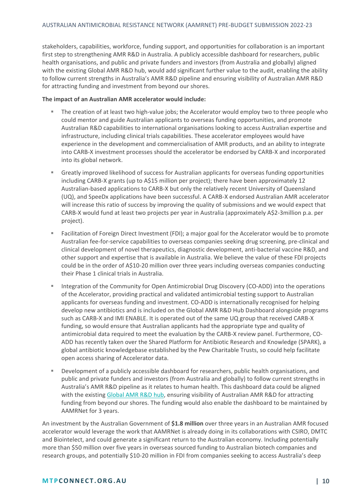stakeholders, capabilities, workforce, funding support, and opportunities for collaboration is an important first step to strengthening AMR R&D in Australia. A publicly accessible dashboard for researchers, public health organisations, and public and private funders and investors (from Australia and globally) aligned with the existing Global AMR R&D hub, would add significant further value to the audit, enabling the ability to follow current strengths in Australia's AMR R&D pipeline and ensuring visibility of Australian AMR R&D for attracting funding and investment from beyond our shores.

#### **The impact of an Australian AMR accelerator would include:**

- The creation of at least two high-value jobs; the Accelerator would employ two to three people who could mentor and guide Australian applicants to overseas funding opportunities, and promote Australian R&D capabilities to international organisations looking to access Australian expertise and infrastructure, including clinical trials capabilities. These accelerator employees would have experience in the development and commercialisation of AMR products, and an ability to integrate into CARB-X investment processes should the accelerator be endorsed by CARB-X and incorporated into its global network.
- Greatly improved likelihood of success for Australian applicants for overseas funding opportunities including CARB-X grants (up to A\$15 million per project); there have been approximately 12 Australian-based applications to CARB-X but only the relatively recent University of Queensland (UQ), and SpeeDx applications have been successful. A CARB-X endorsed Australian AMR accelerator will increase this ratio of success by improving the quality of submissions and we would expect that CARB-X would fund at least two projects per year in Australia (approximately A\$2-3million p.a. per project).
- Facilitation of Foreign Direct Investment (FDI); a major goal for the Accelerator would be to promote Australian fee-for-service capabilities to overseas companies seeking drug screening, pre-clinical and clinical development of novel therapeutics, diagnostic development, anti-bacterial vaccine R&D, and other support and expertise that is available in Australia. We believe the value of these FDI projects could be in the order of A\$10-20 million over three years including overseas companies conducting their Phase 1 clinical trials in Australia.
- Integration of the Community for Open Antimicrobial Drug Discovery (CO-ADD) into the operations of the Accelerator, providing practical and validated antimicrobial testing support to Australian applicants for overseas funding and investment. CO-ADD is internationally recognised for helping develop new antibiotics and is included on the Global AMR R&D Hub Dashboard alongside programs such as CARB-X and IMI ENABLE. It is operated out of the same UQ group that received CARB-X funding, so would ensure that Australian applicants had the appropriate type and quality of antimicrobial data required to meet the evaluation by the CARB-X review panel. Furthermore, CO-ADD has recently taken over the Shared Platform for Antibiotic Research and Knowledge (SPARK), a global antibiotic knowledgebase established by the Pew Charitable Trusts, so could help facilitate open access sharing of Accelerator data.
- Development of a publicly accessible dashboard for researchers, public health organisations, and public and private funders and investors (from Australia and globally) to follow current strengths in Australia's AMR R&D pipeline as it relates to human health. This dashboard data could be aligned with the existing [Global AMR R&D hub,](https://dashboard.globalamrhub.org/reports/investments/overview) ensuring visibility of Australian AMR R&D for attracting funding from beyond our shores. The funding would also enable the dashboard to be maintained by AAMRNet for 3 years.

An investment by the Australian Government of **\$1.8 million** over three years in an Australian AMR focused accelerator would leverage the work that AAMRNet is already doing in its collaborations with CSIRO, DMTC and Biointelect, and could generate a significant return to the Australian economy. Including potentially more than \$50 million over five years in overseas sourced funding to Australian biotech companies and research groups, and potentially \$10-20 million in FDI from companies seeking to access Australia's deep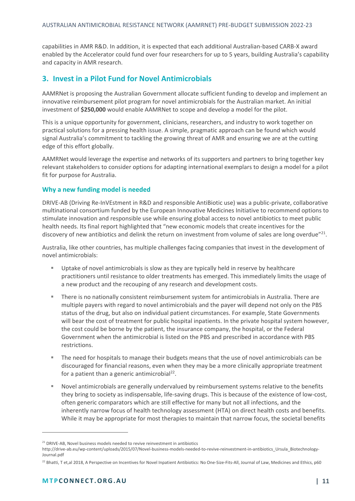capabilities in AMR R&D. In addition, it is expected that each additional Australian-based CARB-X award enabled by the Accelerator could fund over four researchers for up to 5 years, building Australia's capability and capacity in AMR research.

#### <span id="page-10-0"></span>**3. Invest in a Pilot Fund for Novel Antimicrobials**

AAMRNet is proposing the Australian Government allocate sufficient funding to develop and implement an innovative reimbursement pilot program for novel antimicrobials for the Australian market. An initial investment of **\$250,000** would enable AAMRNet to scope and develop a model for the pilot.

This is a unique opportunity for government, clinicians, researchers, and industry to work together on practical solutions for a pressing health issue. A simple, pragmatic approach can be found which would signal Australia's commitment to tackling the growing threat of AMR and ensuring we are at the cutting edge of this effort globally.

AAMRNet would leverage the expertise and networks of its supporters and partners to bring together key relevant stakeholders to consider options for adapting international exemplars to design a model for a pilot fit for purpose for Australia.

#### **Why a new funding model is needed**

DRIVE-AB (Driving Re-InVEstment in R&D and responsible AntiBiotic use) was a public-private, collaborative multinational consortium funded by the European Innovative Medicines Initiative to recommend options to stimulate innovation and responsible use while ensuring global access to novel antibiotics to meet public health needs. Its final report highlighted that "new economic models that create incentives for the discovery of new antibiotics and delink the return on investment from volume of sales are long overdue"<sup>21</sup>.

Australia, like other countries, has multiple challenges facing companies that invest in the development of novel antimicrobials:

- Uptake of novel antimicrobials is slow as they are typically held in reserve by healthcare practitioners until resistance to older treatments has emerged. This immediately limits the usage of a new product and the recouping of any research and development costs.
- There is no nationally consistent reimbursement system for antimicrobials in Australia. There are multiple payers with regard to novel antimicrobials and the payer will depend not only on the PBS status of the drug, but also on individual patient circumstances. For example, State Governments will bear the cost of treatment for public hospital inpatients. In the private hospital system however, the cost could be borne by the patient, the insurance company, the hospital, or the Federal Government when the antimicrobial is listed on the PBS and prescribed in accordance with PBS restrictions.
- The need for hospitals to manage their budgets means that the use of novel antimicrobials can be discouraged for financial reasons, even when they may be a more clinically appropriate treatment for a patient than a generic antimicrobial<sup>22</sup>.
- Novel antimicrobials are generally undervalued by reimbursement systems relative to the benefits they bring to society as indispensable, life-saving drugs. This is because of the existence of low-cost, often generic comparators which are still effective for many but not all infections, and the inherently narrow focus of health technology assessment (HTA) on direct health costs and benefits. While it may be appropriate for most therapies to maintain that narrow focus, the societal benefits

 $21$  DRIVE-AB, Novel business models needed to revive reinvestment in antibiotics

http://drive-ab.eu/wp-content/uploads/2015/07/Novel-business-models-needed-to-revive-reinvestment-in-antibiotics\_Ursula\_Biotechnology-Journal.pdf

<sup>&</sup>lt;sup>22</sup> Bhatti, T et,al 2018, A Perspective on Incentives for Novel Inpatient Antibiotics: No One-Size-Fits-All, Journal of Law, Medicines and Ethics, p60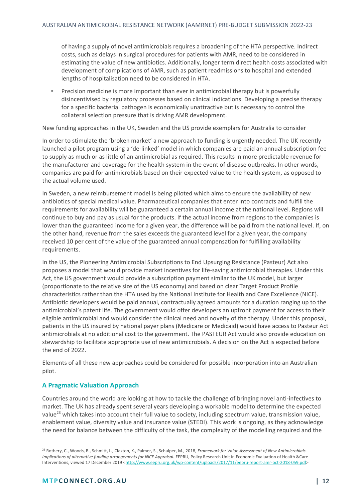of having a supply of novel antimicrobials requires a broadening of the HTA perspective. Indirect costs, such as delays in surgical procedures for patients with AMR, need to be considered in estimating the value of new antibiotics. Additionally, longer term direct health costs associated with development of complications of AMR, such as patient readmissions to hospital and extended lengths of hospitalisation need to be considered in HTA.

**•** Precision medicine is more important than ever in antimicrobial therapy but is powerfully disincentivised by regulatory processes based on clinical indications. Developing a precise therapy for a specific bacterial pathogen is economically unattractive but is necessary to control the collateral selection pressure that is driving AMR development.

New funding approaches in the UK, Sweden and the US provide exemplars for Australia to consider

In order to stimulate the 'broken market' a new approach to funding is urgently needed. The UK recently launched a pilot program using a 'de-linked' model in which companies are paid an annual subscription fee to supply as much or as little of an antimicrobial as required. This results in more predictable revenue for the manufacturer and coverage for the health system in the event of disease outbreaks. In other words, companies are paid for antimicrobials based on their expected value to the health system, as opposed to the actual volume used.

In Sweden, a new reimbursement model is being piloted which aims to ensure the availability of new antibiotics of special medical value. Pharmaceutical companies that enter into contracts and fulfill the requirements for availability will be guaranteed a certain annual income at the national level. Regions will continue to buy and pay as usual for the products. If the actual income from regions to the companies is lower than the guaranteed income for a given year, the difference will be paid from the national level. If, on the other hand, revenue from the sales exceeds the guaranteed level for a given year, the company received 10 per cent of the value of the guaranteed annual compensation for fulfilling availability requirements.

In the US, the Pioneering Antimicrobial Subscriptions to End Upsurging Resistance (Pasteur) Act also proposes a model that would provide market incentives for life-saving antimicrobial therapies. Under this Act, the US government would provide a subscription payment similar to the UK model, but larger (proportionate to the relative size of the US economy) and based on clear Target Product Profile characteristics rather than the HTA used by the National Institute for Health and Care Excellence (NICE). Antibiotic developers would be paid annual, contractually agreed amounts for a duration ranging up to the antimicrobial's patent life. The government would offer developers an upfront payment for access to their eligible antimicrobial and would consider the clinical need and novelty of the therapy. Under this proposal, patients in the US insured by national payer plans (Medicare or Medicaid) would have access to Pasteur Act antimicrobials at no additional cost to the government. The PASTEUR Act would also provide education on stewardship to facilitate appropriate use of new antimicrobials. A decision on the Act is expected before the end of 2022.

Elements of all these new approaches could be considered for possible incorporation into an Australian pilot.

#### **A Pragmatic Valuation Approach**

Countries around the world are looking at how to tackle the challenge of bringing novel anti-infectives to market. The UK has already spent several years developing a workable model to determine the expected value<sup>23</sup> which takes into account their full value to society, including spectrum value, transmission value, enablement value, diversity value and insurance value (STEDI). This work is ongoing, as they acknowledge the need for balance between the difficulty of the task, the complexity of the modelling required and the

<sup>23</sup> Rothery, C., Woods, B., Schmitt, L., Claxton, K., Palmer, S., Schulper, M., 2018, *Framework for Value Assessment of New Antimicrobials. Implications of alternative funding arrangements for NICE Appraisal.* EEPRU, Policy Research Unit in Economic Evaluation of Health &Care Interventions, viewed 17 December 2019 [<http://www.eepru.org.uk/wp-content/uploads/2017/11/eepru-report-amr-oct-2018-059.pdf>](http://www.eepru.org.uk/wp-content/uploads/2017/11/eepru-report-amr-oct-2018-059.pdf)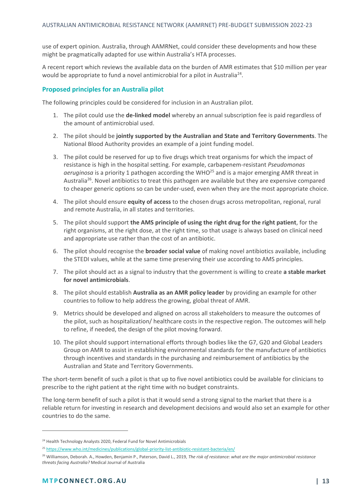use of expert opinion. Australia, through AAMRNet, could consider these developments and how these might be pragmatically adapted for use within Australia's HTA processes.

A recent report which reviews the available data on the burden of AMR estimates that \$10 million per year would be appropriate to fund a novel antimicrobial for a pilot in Australia<sup>24</sup>.

#### **Proposed principles for an Australia pilot**

The following principles could be considered for inclusion in an Australian pilot.

- 1. The pilot could use the **de-linked model** whereby an annual subscription fee is paid regardless of the amount of antimicrobial used.
- 2. The pilot should be **jointly supported by the Australian and State and Territory Governments**. The National Blood Authority provides an example of a joint funding model.
- 3. The pilot could be reserved for up to five drugs which treat organisms for which the impact of resistance is high in the hospital setting. For example, carbapenem-resistant *Pseudomonas aeruginosa* is a priority 1 pathogen according the WHO<sup>25</sup> and is a major emerging AMR threat in Australia<sup>26</sup>. Novel antibiotics to treat this pathogen are available but they are expensive compared to cheaper generic options so can be under-used, even when they are the most appropriate choice.
- 4. The pilot should ensure **equity of access** to the chosen drugs across metropolitan, regional, rural and remote Australia, in all states and territories.
- 5. The pilot should support **the AMS principle of using the right drug for the right patient**, for the right organisms, at the right dose, at the right time, so that usage is always based on clinical need and appropriate use rather than the cost of an antibiotic.
- 6. The pilot should recognise the **broader social value** of making novel antibiotics available, including the STEDI values, while at the same time preserving their use according to AMS principles.
- 7. The pilot should act as a signal to industry that the government is willing to create **a stable market for novel antimicrobials**.
- 8. The pilot should establish **Australia as an AMR policy leader** by providing an example for other countries to follow to help address the growing, global threat of AMR.
- 9. Metrics should be developed and aligned on across all stakeholders to measure the outcomes of the pilot, such as hospitalization/ healthcare costs in the respective region. The outcomes will help to refine, if needed, the design of the pilot moving forward.
- 10. The pilot should support international efforts through bodies like the G7, G20 and Global Leaders Group on AMR to assist in establishing environmental standards for the manufacture of antibiotics through incentives and standards in the purchasing and reimbursement of antibiotics by the Australian and State and Territory Governments.

The short-term benefit of such a pilot is that up to five novel antibiotics could be available for clinicians to prescribe to the right patient at the right time with no budget constraints.

The long-term benefit of such a pilot is that it would send a strong signal to the market that there is a reliable return for investing in research and development decisions and would also set an example for other countries to do the same.

<sup>&</sup>lt;sup>24</sup> Health Technology Analysts 2020, Federal Fund for Novel Antimicrobials

<sup>25</sup> <https://www.who.int/medicines/publications/global-priority-list-antibiotic-resistant-bacteria/en/>

<sup>26</sup> Williamson, Deborah. A., Howden, Benjamin P., Paterson, David L., 2019, *The risk of resistance: what are the major antimicrobial resistance threats facing Australia?* Medical Journal of Australia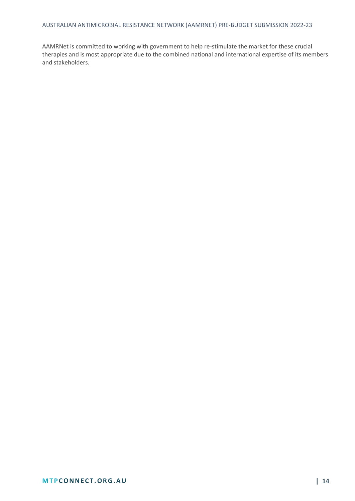AAMRNet is committed to working with government to help re-stimulate the market for these crucial therapies and is most appropriate due to the combined national and international expertise of its members and stakeholders.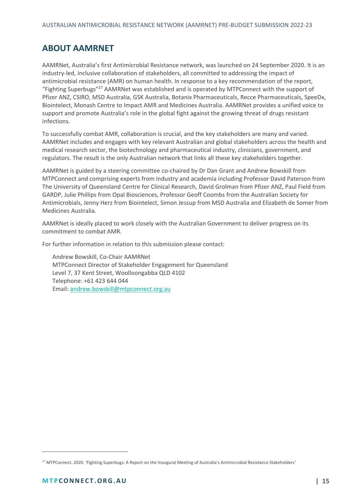### <span id="page-14-0"></span>**ABOUT AAMRNET**

AAMRNet, Australia's first Antimicrobial Resistance network, was launched on 24 September 2020. It is an industry-led, inclusive collaboration of stakeholders, all committed to addressing the impact of antimicrobial resistance (AMR) on human health. In response to a key recommendation of the report, "Fighting Superbugs"<sup>27</sup> AAMRNet was established and is operated by MTPConnect with the support of Pfizer ANZ, CSIRO, MSD Australia, GSK Australia, Botanix Pharmaceuticals, Recce Pharmaceuticals, SpeeDx, Biointelect, Monash Centre to Impact AMR and Medicines Australia. AAMRNet provides a unified voice to support and promote Australia's role in the global fight against the growing threat of drugs resistant infections.

To successfully combat AMR, collaboration is crucial, and the key stakeholders are many and varied. AAMRNet includes and engages with key relevant Australian and global stakeholders across the health and medical research sector, the biotechnology and pharmaceutical industry, clinicians, government, and regulators. The result is the only Australian network that links all these key stakeholders together.

AAMRNet is guided by a steering committee co-chaired by Dr Dan Grant and Andrew Bowskill from MTPConnect and comprising experts from industry and academia including Professor David Paterson from The University of Queensland Centre for Clinical Research, David Grolman from Pfizer ANZ, Paul Field from GARDP, Julie Phillips from Opal Biosciences, Professor Geoff Coombs from the Australian Society for Antimicrobials, Jenny Herz from Biointelect, Simon Jessup from MSD Australia and Elizabeth de Somer from Medicines Australia.

AAMRNet is ideally placed to work closely with the Australian Government to deliver progress on its commitment to combat AMR.

For further information in relation to this submission please contact:

Andrew Bowskill, Co-Chair AAMRNet MTPConnect Director of Stakeholder Engagement for Queensland Level 7, 37 Kent Street, Woolloongabba QLD 4102 Telephone: +61 423 644 044 Email: [andrew.bowskill@mtpconnect.org.au](mailto:andrew.bowskill@mtpconnect.org.au)

<sup>&</sup>lt;sup>27</sup> MTPConnect. 2020. 'Fighting Superbugs: A Report on the Inaugural Meeting of Australia's Antimicrobial Resistance Stakeholders'